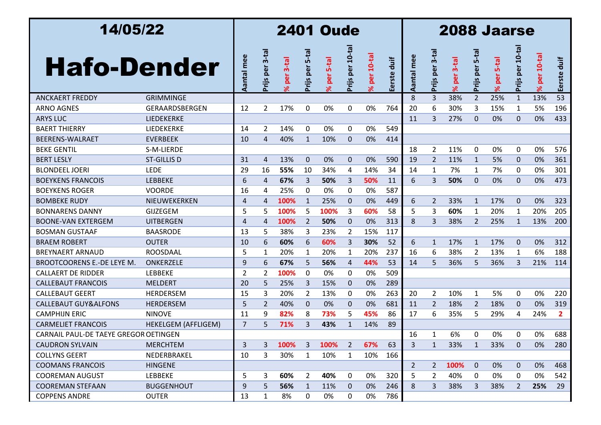| 14/05/22                              |                            | <b>2401 Oude</b> |                 |                       |                     |                       |                 |                            |             |                | 2088 Jaarse            |                       |                     |                       |                 |                            |                |  |  |  |
|---------------------------------------|----------------------------|------------------|-----------------|-----------------------|---------------------|-----------------------|-----------------|----------------------------|-------------|----------------|------------------------|-----------------------|---------------------|-----------------------|-----------------|----------------------------|----------------|--|--|--|
| <b>Hafo-Dender</b>                    |                            | Aantal mee       | Prijs per 3-tal | per 3-tal<br>$\aleph$ | $5-ta$<br>Prijs per | per 5-tal<br>$\aleph$ | Prijs per 10-ta | $10-ta$<br>per<br>$\aleph$ | Eerste duif | Aantal mee     | $3-ta$<br>per<br>Prijs | per 3-tal<br>$\aleph$ | $5-ta$<br>Prijs per | per 5-tal<br>$\aleph$ | Prijs per 10-ta | $10-ta$<br>per<br>$\aleph$ | duif<br>Eerste |  |  |  |
| <b>ANCKAERT FREDDY</b>                | <b>GRIMMINGE</b>           |                  |                 |                       |                     |                       |                 |                            |             | 8              | 3                      | 38%                   | $\overline{2}$      | 25%                   | $\mathbf{1}$    | 13%                        | 53             |  |  |  |
| <b>ARNO AGNES</b>                     | GERAARDSBERGEN             | 12               | $\overline{2}$  | 17%                   | 0                   | 0%                    | 0               | 0%                         | 764         | 20             | 6                      | 30%                   | 3                   | 15%                   | 1               | 5%                         | 196            |  |  |  |
| <b>ARYS LUC</b>                       | LIEDEKERKE                 |                  |                 |                       |                     |                       |                 |                            |             | 11             | 3                      | 27%                   | $\Omega$            | 0%                    | $\Omega$        | 0%                         | 433            |  |  |  |
| <b>BAERT THIERRY</b>                  | LIEDEKERKE                 | 14               | 2               | 14%                   | 0                   | 0%                    | 0               | 0%                         | 549         |                |                        |                       |                     |                       |                 |                            |                |  |  |  |
| <b>BEERENS-WALRAET</b>                | <b>EVERBEEK</b>            | 10               | $\overline{4}$  | 40%                   | $\mathbf{1}$        | 10%                   | $\mathbf{0}$    | 0%                         | 414         |                |                        |                       |                     |                       |                 |                            |                |  |  |  |
| <b>BEKE GENTIL</b>                    | S-M-LIERDE                 |                  |                 |                       |                     |                       |                 |                            |             | 18             | 2                      | 11%                   | 0                   | 0%                    | 0               | 0%                         | 576            |  |  |  |
| <b>BERT LESLY</b>                     | <b>ST-GILLIS D</b>         | 31               | $\overline{4}$  | 13%                   | $\mathbf{0}$        | 0%                    | $\mathbf{0}$    | 0%                         | 590         | 19             | $\overline{2}$         | 11%                   | $\mathbf{1}$        | 5%                    | $\Omega$        | 0%                         | 361            |  |  |  |
| <b>BLONDEEL JOERI</b>                 | <b>LEDE</b>                | 29               | 16              | 55%                   | 10                  | 34%                   | 4               | 14%                        | 34          | 14             | $\mathbf{1}$           | 7%                    | 1                   | 7%                    | 0               | 0%                         | 301            |  |  |  |
| <b>BOEYKENS FRANCOIS</b>              | <b>LEBBEKE</b>             | 6                | $\overline{4}$  | 67%                   | 3                   | 50%                   | 3               | 50%                        | 11          | 6              | 3                      | 50%                   | $\Omega$            | 0%                    | $\Omega$        | 0%                         | 473            |  |  |  |
| <b>BOEYKENS ROGER</b>                 | <b>VOORDE</b>              | 16               | 4               | 25%                   | 0                   | 0%                    | 0               | 0%                         | 587         |                |                        |                       |                     |                       |                 |                            |                |  |  |  |
| <b>BOMBEKE RUDY</b>                   | NIEUWEKERKEN               | 4                | $\overline{4}$  | 100%                  | $\mathbf{1}$        | 25%                   | $\mathbf{0}$    | 0%                         | 449         | 6              | $\overline{2}$         | 33%                   | 1                   | 17%                   | 0               | 0%                         | 323            |  |  |  |
| <b>BONNARENS DANNY</b>                | <b>GIJZEGEM</b>            | 5                | 5               | 100%                  | 5                   | 100%                  | 3               | 60%                        | 58          | 5              | 3                      | 60%                   | 1                   | 20%                   | 1               | 20%                        | 205            |  |  |  |
| <b>BOONE-VAN EXTERGEM</b>             | <b>UITBERGEN</b>           | 4                | $\overline{4}$  | 100%                  | $\overline{2}$      | 50%                   | $\mathbf 0$     | 0%                         | 313         | 8              | 3                      | 38%                   | $\overline{2}$      | 25%                   | $\mathbf{1}$    | 13%                        | 200            |  |  |  |
| <b>BOSMAN GUSTAAF</b>                 | <b>BAASRODE</b>            | 13               | 5               | 38%                   | 3                   | 23%                   | $\overline{2}$  | 15%                        | 117         |                |                        |                       |                     |                       |                 |                            |                |  |  |  |
| <b>BRAEM ROBERT</b>                   | <b>OUTER</b>               | 10               | 6               | 60%                   | 6                   | 60%                   | 3               | 30%                        | 52          | 6              | $\mathbf{1}$           | 17%                   | $\mathbf{1}$        | 17%                   | $\mathbf 0$     | 0%                         | 312            |  |  |  |
| <b>BREYNAERT ARNAUD</b>               | <b>ROOSDAAL</b>            | 5                | $\mathbf{1}$    | 20%                   | 1                   | 20%                   | 1               | 20%                        | 237         | 16             | 6                      | 38%                   | 2                   | 13%                   | 1               | 6%                         | 188            |  |  |  |
| <b>BROOTCOORENS E.-DE LEYE M.</b>     | ONKERZELE                  | 9                | 6               | 67%                   | 5                   | 56%                   | 4               | 44%                        | 53          | 14             | 5                      | 36%                   | 5                   | 36%                   | 3               | 21%                        | 114            |  |  |  |
| <b>CALLAERT DE RIDDER</b>             | <b>LEBBEKE</b>             | $\overline{2}$   | 2               | 100%                  | 0                   | 0%                    | 0               | 0%                         | 509         |                |                        |                       |                     |                       |                 |                            |                |  |  |  |
| <b>CALLEBAUT FRANCOIS</b>             | <b>MELDERT</b>             | 20               | 5               | 25%                   | 3                   | 15%                   | $\mathbf{0}$    | 0%                         | 289         |                |                        |                       |                     |                       |                 |                            |                |  |  |  |
| <b>CALLEBAUT GEERT</b>                | <b>HERDERSEM</b>           | 15               | 3               | 20%                   | 2                   | 13%                   | 0               | 0%                         | 263         | 20             | $\overline{2}$         | 10%                   | 1                   | 5%                    | 0               | 0%                         | 220            |  |  |  |
| <b>CALLEBAUT GUY&amp;ALFONS</b>       | <b>HERDERSEM</b>           | 5                | $\overline{2}$  | 40%                   | $\Omega$            | 0%                    | $\mathbf{0}$    | 0%                         | 681         | 11             | 2                      | 18%                   | 2                   | 18%                   | $\mathbf 0$     | 0%                         | 319            |  |  |  |
| <b>CAMPHIJN ERIC</b>                  | <b>NINOVE</b>              | 11               | 9               | 82%                   | 8                   | 73%                   | 5               | 45%                        | 86          | 17             | 6                      | 35%                   | 5                   | 29%                   | 4               | 24%                        | $\mathbf{2}$   |  |  |  |
| <b>CARMELIET FRANCOIS</b>             | <b>HEKELGEM (AFFLIGEM)</b> | 7                | 5               | 71%                   | 3                   | 43%                   | $\mathbf{1}$    | 14%                        | 89          |                |                        |                       |                     |                       |                 |                            |                |  |  |  |
| CARNAIL PAUL-DE TAEYE GREGOR OETINGEN |                            |                  |                 |                       |                     |                       |                 |                            |             | 16             | 1                      | 6%                    | 0                   | 0%                    | 0               | 0%                         | 688            |  |  |  |
| <b>CAUDRON SYLVAIN</b>                | <b>MERCHTEM</b>            | 3                | 3               | 100%                  | 3                   | 100%                  | $\overline{2}$  | 67%                        | 63          | 3              | $\mathbf{1}$           | 33%                   | 1                   | 33%                   | $\mathbf 0$     | 0%                         | 280            |  |  |  |
| <b>COLLYNS GEERT</b>                  | NEDERBRAKEL                | 10               | 3               | 30%                   | 1                   | 10%                   | $\mathbf{1}$    | 10%                        | 166         |                |                        |                       |                     |                       |                 |                            |                |  |  |  |
| <b>COOMANS FRANCOIS</b>               | <b>HINGENE</b>             |                  |                 |                       |                     |                       |                 |                            |             | $\overline{2}$ | $2^{\circ}$            | 100%                  | $\mathbf 0$         | 0%                    | $\mathbf 0$     | 0%                         | 468            |  |  |  |
| <b>COOREMAN AUGUST</b>                | <b>LEBBEKE</b>             | 5                | 3               | 60%                   | $\overline{2}$      | 40%                   | 0               | 0%                         | 320         | 5              | $\overline{2}$         | 40%                   | 0                   | 0%                    | 0               | 0%                         | 542            |  |  |  |
| <b>COOREMAN STEFAAN</b>               | <b>BUGGENHOUT</b>          | 9                | 5               | 56%                   | $\mathbf{1}$        | 11%                   | $\mathbf 0$     | 0%                         | 246         | 8              | 3                      | 38%                   | 3                   | 38%                   | $\overline{2}$  | 25%                        | 29             |  |  |  |
| <b>COPPENS ANDRE</b>                  | <b>OUTER</b>               | 13               | $\mathbf{1}$    | 8%                    | 0                   | 0%                    | 0               | 0%                         | 786         |                |                        |                       |                     |                       |                 |                            |                |  |  |  |
|                                       |                            |                  |                 |                       |                     |                       |                 |                            |             |                |                        |                       |                     |                       |                 |                            |                |  |  |  |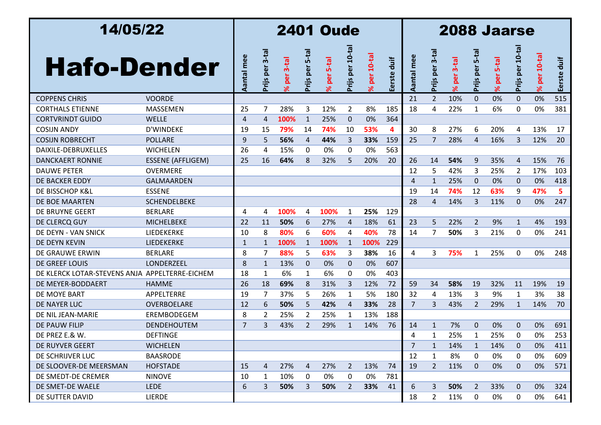| 14/05/22                                       |                          |                | <b>2401 Oude</b> |                       |                     |               |                 |                            |             |                |                     | 2088 Jaarse           |                     |                       |                 |                            |                |  |  |  |  |
|------------------------------------------------|--------------------------|----------------|------------------|-----------------------|---------------------|---------------|-----------------|----------------------------|-------------|----------------|---------------------|-----------------------|---------------------|-----------------------|-----------------|----------------------------|----------------|--|--|--|--|
| <b>Hafo-Dender</b>                             |                          | Aantal mee     | Prijs per 3-tal  | per 3-tal<br>$\aleph$ | $5-ta$<br>Prijs per | $5-ta$<br>per | Prijs per 10-ta | $10-ta$<br>per<br>$\aleph$ | Eerste duif | Aantal mee     | $3-ta$<br>Prijs per | per 3-tal<br>$\aleph$ | $5-ta$<br>Prijs per | per 5-tal<br>$\aleph$ | Prijs per 10-ta | $10-ta$<br>per<br>$\aleph$ | duif<br>Eerste |  |  |  |  |
| <b>COPPENS CHRIS</b>                           | <b>VOORDE</b>            |                |                  |                       |                     |               |                 |                            |             | 21             | 2 <sup>1</sup>      | 10%                   | $\mathbf{0}$        | 0%                    | $\mathbf 0$     | 0%                         | 515            |  |  |  |  |
| <b>CORTHALS ETIENNE</b>                        | <b>MASSEMEN</b>          | 25             | 7                | 28%                   | 3                   | 12%           | $\overline{2}$  | 8%                         | 185         | 18             | 4                   | 22%                   | 1                   | 6%                    | $\mathbf{0}$    | 0%                         | 381            |  |  |  |  |
| <b>CORTVRINDT GUIDO</b>                        | <b>WELLE</b>             | $\overline{4}$ | $\overline{4}$   | 100%                  | $\mathbf{1}$        | 25%           | $\mathbf{0}$    | 0%                         | 364         |                |                     |                       |                     |                       |                 |                            |                |  |  |  |  |
| <b>COSIJN ANDY</b>                             | D'WINDEKE                | 19             | 15               | 79%                   | 14                  | 74%           | 10              | 53%                        | 4           | 30             | 8                   | 27%                   | 6                   | 20%                   | 4               | 13%                        | 17             |  |  |  |  |
| <b>COSIJN ROBRECHT</b>                         | <b>POLLARE</b>           | 9              | 5                | 56%                   | 4                   | 44%           | 3               | 33%                        | 159         | 25             | $\overline{7}$      | 28%                   | $\overline{4}$      | 16%                   | 3               | 12%                        | 20             |  |  |  |  |
| DAIXILE-DEBRUXELLES                            | <b>WICHELEN</b>          | 26             | 4                | 15%                   | 0                   | 0%            | 0               | 0%                         | 563         |                |                     |                       |                     |                       |                 |                            |                |  |  |  |  |
| <b>DANCKAERT RONNIE</b>                        | <b>ESSENE (AFFLIGEM)</b> | 25             | 16               | 64%                   | 8                   | 32%           | 5               | 20%                        | 20          | 26             | 14                  | 54%                   | 9                   | 35%                   | $\overline{4}$  | 15%                        | 76             |  |  |  |  |
| <b>DAUWE PETER</b>                             | <b>OVERMERE</b>          |                |                  |                       |                     |               |                 |                            |             | 12             | 5                   | 42%                   | 3                   | 25%                   | 2               | 17%                        | 103            |  |  |  |  |
| DE BACKER EDDY                                 | GALMAARDEN               |                |                  |                       |                     |               |                 |                            |             | 4              | $\mathbf{1}$        | 25%                   | $\Omega$            | 0%                    | $\mathbf{0}$    | 0%                         | 418            |  |  |  |  |
| DE BISSCHOP K&L                                | <b>ESSENE</b>            |                |                  |                       |                     |               |                 |                            |             | 19             | 14                  | 74%                   | 12                  | 63%                   | 9               | 47%                        | 5              |  |  |  |  |
| DE BOE MAARTEN                                 | <b>SCHENDELBEKE</b>      |                |                  |                       |                     |               |                 |                            |             | 28             | 4                   | 14%                   | 3                   | 11%                   | $\Omega$        | 0%                         | 247            |  |  |  |  |
| DE BRUYNE GEERT                                | <b>BERLARE</b>           | 4              | 4                | 100%                  | 4                   | 100%          | 1               | 25%                        | 129         |                |                     |                       |                     |                       |                 |                            |                |  |  |  |  |
| DE CLERCQ GUY                                  | <b>MICHELBEKE</b>        | 22             | 11               | 50%                   | 6                   | 27%           | 4               | 18%                        | 61          | 23             | 5                   | 22%                   | 2                   | 9%                    | $\mathbf{1}$    | 4%                         | 193            |  |  |  |  |
| DE DEYN - VAN SNICK                            | LIEDEKERKE               | 10             | 8                | 80%                   | 6                   | 60%           | 4               | 40%                        | 78          | 14             | 7                   | 50%                   | 3                   | 21%                   | 0               | 0%                         | 241            |  |  |  |  |
| DE DEYN KEVIN                                  | LIEDEKERKE               | 1              | $\mathbf{1}$     | 100%                  | $\mathbf{1}$        | 100%          | $\mathbf{1}$    | 100%                       | 229         |                |                     |                       |                     |                       |                 |                            |                |  |  |  |  |
| DE GRAUWE ERWIN                                | <b>BERLARE</b>           | 8              | 7                | 88%                   | 5                   | 63%           | 3               | 38%                        | 16          | 4              | 3                   | 75%                   | $\mathbf{1}$        | 25%                   | 0               | 0%                         | 248            |  |  |  |  |
| DE GREEF LOUIS                                 | LONDERZEEL               | 8              | 1                | 13%                   | $\Omega$            | 0%            | $\mathbf{0}$    | 0%                         | 607         |                |                     |                       |                     |                       |                 |                            |                |  |  |  |  |
| DE KLERCK LOTAR-STEVENS ANJA APPELTERRE-EICHEM |                          | 18             | 1                | 6%                    | 1                   | 6%            | 0               | 0%                         | 403         |                |                     |                       |                     |                       |                 |                            |                |  |  |  |  |
| DE MEYER-BODDAERT                              | <b>HAMME</b>             | 26             | 18               | 69%                   | 8                   | 31%           | 3               | 12%                        | 72          | 59             | 34                  | 58%                   | 19                  | 32%                   | 11              | 19%                        | 19             |  |  |  |  |
| DE MOYE BART                                   | APPELTERRE               | 19             | 7                | 37%                   | 5                   | 26%           | $\mathbf{1}$    | 5%                         | 180         | 32             | 4                   | 13%                   | 3                   | 9%                    | $\mathbf{1}$    | 3%                         | 38             |  |  |  |  |
| DE NAYER LUC                                   | OVERBOELARE              | 12             | 6                | 50%                   | 5                   | 42%           | 4               | 33%                        | 28          | $\overline{7}$ | 3                   | 43%                   | 2                   | 29%                   | $\mathbf{1}$    | 14%                        | 70             |  |  |  |  |
| DE NIL JEAN-MARIE                              | EREMBODEGEM              | 8              | 2                | 25%                   | $\overline{2}$      | 25%           | 1               | 13%                        | 188         |                |                     |                       |                     |                       |                 |                            |                |  |  |  |  |
| DE PAUW FILIP                                  | <b>DENDEHOUTEM</b>       | 7              | 3                | 43%                   | $\overline{2}$      | 29%           | $\mathbf{1}$    | 14%                        | 76          | 14             | $\mathbf{1}$        | 7%                    | $\Omega$            | 0%                    | $\Omega$        | 0%                         | 691            |  |  |  |  |
| DE PREZ E.& W.                                 | <b>DEFTINGE</b>          |                |                  |                       |                     |               |                 |                            |             | 4              |                     | 25%                   |                     | 25%                   | ŋ               | 0%                         | 253            |  |  |  |  |
| DE RUYVER GEERT                                | <b>WICHELEN</b>          |                |                  |                       |                     |               |                 |                            |             | $\overline{7}$ | $\mathbf{1}$        | 14%                   | $\mathbf{1}$        | 14%                   | $\mathbf 0$     | 0%                         | 411            |  |  |  |  |
| DE SCHRIJVER LUC                               | <b>BAASRODE</b>          |                |                  |                       |                     |               |                 |                            |             | 12             | 1                   | 8%                    | 0                   | 0%                    | 0               | 0%                         | 609            |  |  |  |  |
| DE SLOOVER-DE MEERSMAN                         | <b>HOFSTADE</b>          | 15             | 4                | 27%                   | 4                   | 27%           | $\overline{2}$  | 13%                        | 74          | 19             | $\mathbf{2}$        | 11%                   | $\mathbf 0$         | 0%                    | $\mathbf{0}$    | 0%                         | 571            |  |  |  |  |
| DE SMEDT-DE CREMER                             | <b>NINOVE</b>            | 10             | 1                | 10%                   | $\mathbf 0$         | 0%            | 0               | 0%                         | 781         |                |                     |                       |                     |                       |                 |                            |                |  |  |  |  |
| DE SMET-DE WAELE                               | <b>LEDE</b>              | 6              | 3                | 50%                   | 3                   | 50%           | $\mathbf{2}$    | 33%                        | 41          | 6              | 3                   | 50%                   | $\overline{2}$      | 33%                   | $\mathbf 0$     | 0%                         | 324            |  |  |  |  |
| DE SUTTER DAVID                                | <b>LIERDE</b>            |                |                  |                       |                     |               |                 |                            |             | 18             | $\mathbf{2}$        | 11%                   | 0                   | 0%                    | 0               | 0%                         | 641            |  |  |  |  |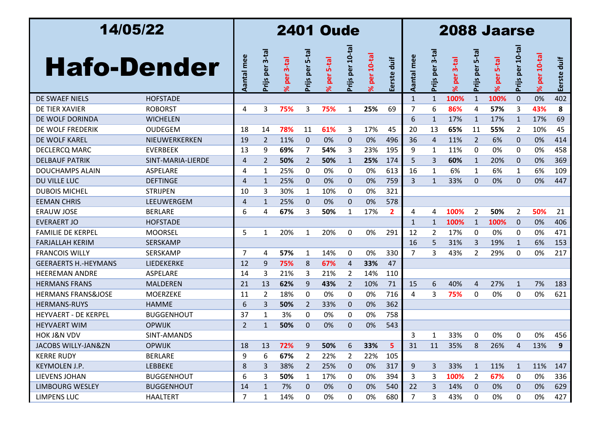| 14/05/22                      |                   |                | <b>2401 Oude</b> |                        |                     |                     |                 |                            |              |                |                        | 2088 Jaarse           |                     |                       |                 |                            |                |  |  |  |  |
|-------------------------------|-------------------|----------------|------------------|------------------------|---------------------|---------------------|-----------------|----------------------------|--------------|----------------|------------------------|-----------------------|---------------------|-----------------------|-----------------|----------------------------|----------------|--|--|--|--|
| <b>Hafo-Dender</b>            |                   | Aantal mee     | Prijs per 3-tal  | per 3-tal<br>$\approx$ | $5-ta$<br>Prijs per | <b>5-tal</b><br>per | Prijs per 10-ta | $10-ta$<br>per<br>$\aleph$ | Eerste duif  | mee<br>Aantal  | $3-ta$<br>per<br>Prijs | per 3-tal<br>$\aleph$ | $5-ta$<br>Prijs per | per 5-tal<br>$\aleph$ | Prijs per 10-ta | $10-ta$<br>per<br>$\aleph$ | duif<br>Eerste |  |  |  |  |
| DE SWAEF NIELS                | <b>HOFSTADE</b>   |                |                  |                        |                     |                     |                 |                            |              | $\mathbf{1}$   | $\mathbf{1}$           | 100%                  | $\mathbf{1}$        | 100%                  | $\Omega$        | 0%                         | 402            |  |  |  |  |
| DE TIER XAVIER                | <b>ROBORST</b>    | 4              | 3                | 75%                    | 3                   | 75%                 | 1               | 25%                        | 69           | 7              | 6                      | 86%                   | 4                   | 57%                   | 3               | 43%                        | 8              |  |  |  |  |
| DE WOLF DORINDA               | <b>WICHELEN</b>   |                |                  |                        |                     |                     |                 |                            |              | 6              | 1                      | 17%                   | 1                   | 17%                   | $\mathbf{1}$    | 17%                        | 69             |  |  |  |  |
| DE WOLF FREDERIK              | <b>OUDEGEM</b>    | 18             | 14               | 78%                    | 11                  | 61%                 | 3               | 17%                        | 45           | 20             | 13                     | 65%                   | 11                  | 55%                   | 2               | 10%                        | 45             |  |  |  |  |
| DE WOLF KAREL                 | NIEUWERKERKEN     | 19             | $\overline{2}$   | 11%                    | $\mathbf{0}$        | 0%                  | $\mathbf 0$     | 0%                         | 496          | 36             | $\overline{4}$         | 11%                   | $\overline{2}$      | 6%                    | 0               | 0%                         | 414            |  |  |  |  |
| <b>DECLERCQ MARC</b>          | <b>EVERBEEK</b>   | 13             | 9                | 69%                    | 7                   | 54%                 | 3               | 23%                        | 195          | 9              | 1                      | 11%                   | 0                   | 0%                    | 0               | 0%                         | 458            |  |  |  |  |
| <b>DELBAUF PATRIK</b>         | SINT-MARIA-LIERDE | 4              | $\overline{2}$   | 50%                    | $\overline{2}$      | 50%                 | $\mathbf{1}$    | 25%                        | 174          | 5              | 3                      | 60%                   | $\mathbf{1}$        | 20%                   | 0               | 0%                         | 369            |  |  |  |  |
| <b>DOUCHAMPS ALAIN</b>        | ASPELARE          | 4              | 1                | 25%                    | 0                   | 0%                  | 0               | 0%                         | 613          | 16             | 1                      | 6%                    | 1                   | 6%                    | 1               | 6%                         | 109            |  |  |  |  |
| DU VILLE LUC                  | <b>DEFTINGE</b>   | 4              | $\mathbf{1}$     | 25%                    | $\Omega$            | 0%                  | $\mathbf{0}$    | 0%                         | 759          | 3              | $\mathbf{1}$           | 33%                   | $\Omega$            | 0%                    | $\Omega$        | 0%                         | 447            |  |  |  |  |
| <b>DUBOIS MICHEL</b>          | <b>STRIJPEN</b>   | 10             | 3                | 30%                    | $\mathbf{1}$        | 10%                 | 0               | 0%                         | 321          |                |                        |                       |                     |                       |                 |                            |                |  |  |  |  |
| <b>EEMAN CHRIS</b>            | LEEUWERGEM        | 4              | 1                | 25%                    | $\mathbf{0}$        | 0%                  | $\mathbf{0}$    | 0%                         | 578          |                |                        |                       |                     |                       |                 |                            |                |  |  |  |  |
| <b>ERAUW JOSE</b>             | <b>BERLARE</b>    | 6              | 4                | 67%                    | 3                   | 50%                 | 1               | 17%                        | $\mathbf{2}$ | 4              | 4                      | 100%                  | $\overline{2}$      | 50%                   | 2               | 50%                        | 21             |  |  |  |  |
| <b>EVERAERT JO</b>            | <b>HOFSTADE</b>   |                |                  |                        |                     |                     |                 |                            |              | $\mathbf{1}$   | 1                      | 100%                  | 1                   | 100%                  | 0               | 0%                         | 406            |  |  |  |  |
| <b>FAMILIE DE KERPEL</b>      | <b>MOORSEL</b>    | 5              | 1                | 20%                    | $\mathbf{1}$        | 20%                 | 0               | 0%                         | 291          | 12             | 2                      | 17%                   | 0                   | 0%                    | 0               | 0%                         | 471            |  |  |  |  |
| <b>FARJALLAH KERIM</b>        | <b>SERSKAMP</b>   |                |                  |                        |                     |                     |                 |                            |              | 16             | 5                      | 31%                   | 3                   | 19%                   | $\mathbf{1}$    | 6%                         | 153            |  |  |  |  |
| <b>FRANCOIS WILLY</b>         | SERSKAMP          | 7              | 4                | 57%                    | $\mathbf{1}$        | 14%                 | 0               | 0%                         | 330          | 7              | 3                      | 43%                   | 2                   | 29%                   | 0               | 0%                         | 217            |  |  |  |  |
| <b>GEERAERTS H.-HEYMANS</b>   | LIEDEKERKE        | 12             | 9                | 75%                    | 8                   | 67%                 | 4               | 33%                        | 47           |                |                        |                       |                     |                       |                 |                            |                |  |  |  |  |
| <b>HEEREMAN ANDRE</b>         | ASPELARE          | 14             | 3                | 21%                    | 3                   | 21%                 | $\overline{2}$  | 14%                        | 110          |                |                        |                       |                     |                       |                 |                            |                |  |  |  |  |
| <b>HERMANS FRANS</b>          | <b>MALDEREN</b>   | 21             | 13               | 62%                    | 9                   | 43%                 | $\overline{2}$  | 10%                        | 71           | 15             | 6                      | 40%                   | $\overline{4}$      | 27%                   | $\mathbf{1}$    | 7%                         | 183            |  |  |  |  |
| <b>HERMANS FRANS&amp;JOSE</b> | <b>MOERZEKE</b>   | 11             | 2                | 18%                    | 0                   | 0%                  | $\Omega$        | 0%                         | 716          | 4              | 3                      | 75%                   | 0                   | 0%                    | 0               | 0%                         | 621            |  |  |  |  |
| <b>HERMANS-RUYS</b>           | <b>HAMME</b>      | 6              | 3                | 50%                    | $\overline{2}$      | 33%                 | $\mathbf{0}$    | 0%                         | 362          |                |                        |                       |                     |                       |                 |                            |                |  |  |  |  |
| <b>HEYVAERT - DE KERPEL</b>   | <b>BUGGENHOUT</b> | 37             | 1                | 3%                     | 0                   | 0%                  | 0               | 0%                         | 758          |                |                        |                       |                     |                       |                 |                            |                |  |  |  |  |
| <b>HEYVAERT WIM</b>           | <b>OPWIJK</b>     | $\overline{2}$ | $\mathbf{1}$     | 50%                    | $\mathbf 0$         | 0%                  | $\mathbf{0}$    | 0%                         | 543          |                |                        |                       |                     |                       |                 |                            |                |  |  |  |  |
| <b>HOK J&amp;N VDV</b>        | SINT-AMANDS       |                |                  |                        |                     |                     |                 |                            |              | 3              | 1                      | 33%                   | 0                   | 0%                    | 0               | 0%                         | 456            |  |  |  |  |
| JACOBS WILLY-JAN&ZN           | <b>OPWIJK</b>     | 18             | 13               | 72%                    | 9                   | 50%                 | 6               | 33%                        | 5            | 31             | 11                     | 35%                   | 8                   | 26%                   | 4               | 13%                        | 9              |  |  |  |  |
| <b>KERRE RUDY</b>             | <b>BERLARE</b>    | 9              | 6                | 67%                    | $\overline{2}$      | 22%                 | 2               | 22%                        | 105          |                |                        |                       |                     |                       |                 |                            |                |  |  |  |  |
| KEYMOLEN J.P.                 | <b>LEBBEKE</b>    | 8              | 3                | 38%                    | 2                   | 25%                 | 0               | 0%                         | 317          | 9              | 3                      | 33%                   | $\mathbf{1}$        | 11%                   | 1               | 11%                        | 147            |  |  |  |  |
| LIEVENS JOHAN                 | <b>BUGGENHOUT</b> | 6              | 3                | 50%                    | $\mathbf{1}$        | 17%                 | 0               | 0%                         | 394          | 3              | 3                      | 100%                  | <sup>2</sup>        | 67%                   | 0               | 0%                         | 336            |  |  |  |  |
| LIMBOURG WESLEY               | <b>BUGGENHOUT</b> | 14             | $\mathbf{1}$     | 7%                     | $\mathbf{0}$        | 0%                  | 0               | 0%                         | 540          | 22             | 3                      | 14%                   | 0                   | 0%                    | 0               | 0%                         | 629            |  |  |  |  |
| LIMPENS LUC                   | <b>HAALTERT</b>   | 7              | $\mathbf{1}$     | 14%                    | 0                   | 0%                  | 0               | 0%                         | 680          | $\overline{7}$ | 3                      | 43%                   | 0                   | 0%                    | 0               | 0%                         | 427            |  |  |  |  |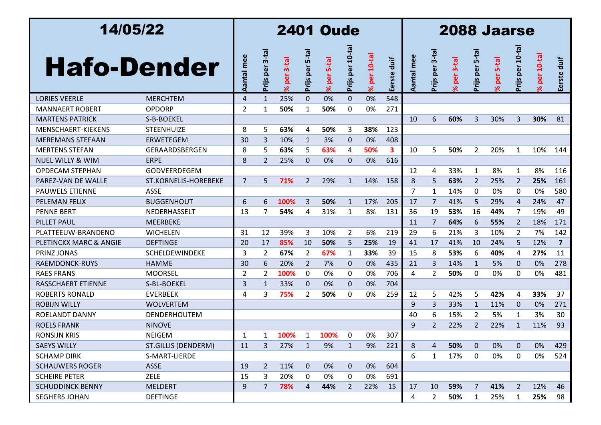| 14/05/22                    |                            |                |                        |                           |                     | <b>2401 Oude</b>                |                 |                       | <b>2088 Jaarse</b> |                   |                        |                        |                     |                        |                |                       |                |  |
|-----------------------------|----------------------------|----------------|------------------------|---------------------------|---------------------|---------------------------------|-----------------|-----------------------|--------------------|-------------------|------------------------|------------------------|---------------------|------------------------|----------------|-----------------------|----------------|--|
| <b>Hafo-Dender</b>          |                            |                | $3-ta$<br>per<br>Prijs | $3-ta$<br>per<br>$\aleph$ | $5-ta$<br>Prijs per | <b>S-tal</b><br>per<br>$\aleph$ | Prijs per 10-ta | per 10-ta<br>$\aleph$ | Eerste duif        | mee<br>antal<br>⋖ | $3-ta$<br>per<br>Prijs | per 3-tal<br>$\approx$ | $5-ta$<br>Prijs per | per 5-tal<br>$\approx$ | Prijs per 10-t | per 10-ta<br>$\aleph$ | duif<br>Eerste |  |
| <b>LORIES VEERLE</b>        | <b>MERCHTEM</b>            | 4              | $\mathbf{1}$           | 25%                       | $\Omega$            | 0%                              | $\mathbf{0}$    | 0%                    | 548                |                   |                        |                        |                     |                        |                |                       |                |  |
| MANNAERT ROBERT             | OPDORP                     | 2              | 1                      | 50%                       | 1                   | 50%                             | 0               | 0%                    | 271                |                   |                        |                        |                     |                        |                |                       |                |  |
| <b>MARTENS PATRICK</b>      | S-B-BOEKEL                 |                |                        |                           |                     |                                 |                 |                       |                    | 10                | 6                      | 60%                    | 3                   | 30%                    | 3              | 30%                   | 81             |  |
| MENSCHAERT-KIEKENS          | <b>STEENHUIZE</b>          | 8              | 5                      | 63%                       | 4                   | 50%                             | 3               | 38%                   | 123                |                   |                        |                        |                     |                        |                |                       |                |  |
| <b>MEREMANS STEFAAN</b>     | <b>ERWETEGEM</b>           | 30             | 3                      | 10%                       | $\mathbf{1}$        | 3%                              | $\mathbf{0}$    | 0%                    | 408                |                   |                        |                        |                     |                        |                |                       |                |  |
| <b>MERTENS STEFAN</b>       | GERAARDSBERGEN             | 8              | 5                      | 63%                       | 5                   | 63%                             | 4               | 50%                   | 3                  | 10                | 5                      | 50%                    | 2                   | 20%                    | 1              | 10%                   | 144            |  |
| <b>NUEL WILLY &amp; WIM</b> | <b>ERPE</b>                | 8              | 2                      | 25%                       | $\mathbf{0}$        | 0%                              | 0               | 0%                    | 616                |                   |                        |                        |                     |                        |                |                       |                |  |
| <b>OPDECAM STEPHAN</b>      | <b>GODVEERDEGEM</b>        |                |                        |                           |                     |                                 |                 |                       |                    | 12                | 4                      | 33%                    | 1                   | 8%                     | 1              | 8%                    | 116            |  |
| PAREZ-VAN DE WALLE          | ST.KORNELIS-HOREBEKE       | $\overline{7}$ | 5                      | 71%                       | $\overline{2}$      | 29%                             | $\mathbf{1}$    | 14%                   | 158                | 8                 | 5                      | 63%                    | $\overline{2}$      | 25%                    | 2              | 25%                   | 161            |  |
| <b>PAUWELS ETIENNE</b>      | <b>ASSE</b>                |                |                        |                           |                     |                                 |                 |                       |                    | 7                 | 1                      | 14%                    | 0                   | 0%                     | 0              | 0%                    | 580            |  |
| <b>PELEMAN FELIX</b>        | <b>BUGGENHOUT</b>          | 6              | 6                      | 100%                      | 3                   | 50%                             | $\mathbf{1}$    | 17%                   | 205                | 17                | 7                      | 41%                    | 5                   | 29%                    | 4              | 24%                   | 47             |  |
| <b>PENNE BERT</b>           | NEDERHASSELT               | 13             | 7                      | 54%                       | 4                   | 31%                             | $\mathbf{1}$    | 8%                    | 131                | 36                | 19                     | 53%                    | 16                  | 44%                    | 7              | 19%                   | 49             |  |
| <b>PILLET PAUL</b>          | <b>MEERBEKE</b>            |                |                        |                           |                     |                                 |                 |                       |                    | 11                | 7                      | 64%                    | 6                   | 55%                    | 2              | 18%                   | 171            |  |
| PLATTEEUW-BRANDENO          | <b>WICHELEN</b>            | 31             | 12                     | 39%                       | 3                   | 10%                             | 2               | 6%                    | 219                | 29                | 6                      | 21%                    | 3                   | 10%                    | 2              | 7%                    | 142            |  |
| PLETINCKX MARC & ANGIE      | <b>DEFTINGE</b>            | 20             | 17                     | 85%                       | 10                  | 50%                             | 5               | 25%                   | 19                 | 41                | 17                     | 41%                    | 10                  | 24%                    | 5              | 12%                   | $\overline{7}$ |  |
| PRINZ JONAS                 | SCHELDEWINDEKE             | 3              | $\overline{2}$         | 67%                       | 2                   | 67%                             | $\mathbf{1}$    | 33%                   | 39                 | 15                | 8                      | 53%                    | 6                   | 40%                    | 4              | 27%                   | 11             |  |
| RAEMDONCK-RUYS              | <b>HAMME</b>               | 30             | 6                      | 20%                       | 2                   | 7%                              | 0               | 0%                    | 435                | 21                | 3                      | 14%                    | 1                   | 5%                     | 0              | 0%                    | 278            |  |
| <b>RAES FRANS</b>           | <b>MOORSEL</b>             | $\overline{2}$ | 2                      | 100%                      | 0                   | 0%                              | 0               | 0%                    | 706                | 4                 | 2                      | 50%                    | 0                   | 0%                     | 0              | 0%                    | 481            |  |
| <b>RASSCHAERT ETIENNE</b>   | S-BL-BOEKEL                | 3              | $\mathbf{1}$           | 33%                       | $\mathbf{0}$        | 0%                              | $\mathbf{0}$    | 0%                    | 704                |                   |                        |                        |                     |                        |                |                       |                |  |
| <b>ROBERTS RONALD</b>       | <b>EVERBEEK</b>            | 4              | 3                      | 75%                       | 2                   | 50%                             | 0               | 0%                    | 259                | 12                | 5                      | 42%                    | 5                   | 42%                    | 4              | 33%                   | 37             |  |
| <b>ROBIJN WILLY</b>         | <b>WOLVERTEM</b>           |                |                        |                           |                     |                                 |                 |                       |                    | 9                 | 3                      | 33%                    | 1                   | 11%                    | 0              | 0%                    | 271            |  |
| <b>ROELANDT DANNY</b>       | <b>DENDERHOUTEM</b>        |                |                        |                           |                     |                                 |                 |                       |                    | 40                | 6                      | 15%                    | 2                   | 5%                     | 1              | 3%                    | 30             |  |
| <b>ROELS FRANK</b>          | <b>NINOVE</b>              |                |                        |                           |                     |                                 |                 |                       |                    | 9                 | 2                      | 22%                    | $\overline{2}$      | 22%                    | $\mathbf{1}$   | 11%                   | 93             |  |
| <b>RONSIJN KRIS</b>         | <b>NEIGEM</b>              | -1             | $\mathbf{1}$           | 100%                      | $\mathbf 1$         | 100%                            | 0               | 0%                    | 307                |                   |                        |                        |                     |                        |                |                       |                |  |
| <b>SAEYS WILLY</b>          | <b>ST.GILLIS (DENDERM)</b> | 11             | 3                      | 27%                       | $\mathbf{1}$        | 9%                              | $\mathbf{1}$    | 9%                    | 221                | 8                 | 4                      | 50%                    | $\mathbf 0$         | 0%                     | $\mathbf 0$    | 0%                    | 429            |  |
| <b>SCHAMP DIRK</b>          | S-MART-LIERDE              |                |                        |                           |                     |                                 |                 |                       |                    | 6                 | 1                      | 17%                    | 0                   | 0%                     | 0              | 0%                    | 524            |  |
| <b>SCHAUWERS ROGER</b>      | <b>ASSE</b>                | 19             | $\overline{2}$         | 11%                       | $\mathbf{0}$        | 0%                              | $\mathbf{0}$    | 0%                    | 604                |                   |                        |                        |                     |                        |                |                       |                |  |
| <b>SCHEIRE PETER</b>        | <b>ZELE</b>                | 15             | 3                      | 20%                       | 0                   | 0%                              | 0               | 0%                    | 691                |                   |                        |                        |                     |                        |                |                       |                |  |
| <b>SCHUDDINCK BENNY</b>     | <b>MELDERT</b>             | 9              | $\overline{7}$         | 78%                       | 4                   | 44%                             | $\overline{2}$  | 22%                   | 15                 | 17                | 10                     | 59%                    | $\overline{7}$      | 41%                    | $\overline{2}$ | 12%                   | 46             |  |
| <b>SEGHERS JOHAN</b>        | <b>DEFTINGE</b>            |                |                        |                           |                     |                                 |                 |                       |                    | 4                 | $\overline{2}$         | 50%                    | $\mathbf{1}$        | 25%                    | $\mathbf{1}$   | 25%                   | 98             |  |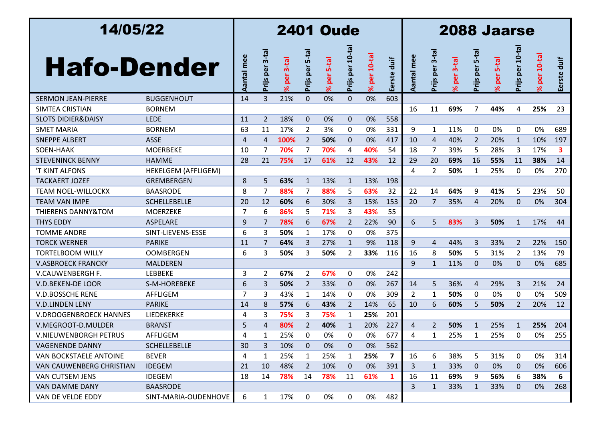| 14/05/22                      |                            |                |                 |                      |                     | <b>2401 Oude</b>         |                 |                            | <b>2088 Jaarse</b> |                |                     |                        |                     |                       |                 |                            |                |  |
|-------------------------------|----------------------------|----------------|-----------------|----------------------|---------------------|--------------------------|-----------------|----------------------------|--------------------|----------------|---------------------|------------------------|---------------------|-----------------------|-----------------|----------------------------|----------------|--|
| <b>Hafo-Dender</b>            |                            | Aantal mee     | Prijs per 3-tal | $3-tal$<br>per<br>۶Ŕ | $5-ta$<br>Prijs per | <b>S-tal</b><br>per<br>ৼ | Prijs per 10-ta | $10-ta$<br>per<br>$\aleph$ | Eerste duif        | mee<br>Aantal  | $3-ta$<br>Prijs per | per 3-tal<br>$\approx$ | $5-ta$<br>Prijs per | per 5-tal<br>$\aleph$ | Prijs per 10-ta | $10-ta$<br>per<br>$\aleph$ | duif<br>Eerste |  |
| <b>SERMON JEAN-PIERRE</b>     | <b>BUGGENHOUT</b>          | 14             | $\overline{3}$  | 21%                  | $\mathbf{0}$        | 0%                       | $\Omega$        | 0%                         | 603                |                |                     |                        |                     |                       |                 |                            |                |  |
| SIMTEA CRISTIAN               | <b>BORNEM</b>              |                |                 |                      |                     |                          |                 |                            |                    | 16             | 11                  | 69%                    | 7                   | 44%                   | 4               | 25%                        | 23             |  |
| <b>SLOTS DIDIER&amp;DAISY</b> | <b>LEDE</b>                | 11             | $\overline{2}$  | 18%                  | $\mathbf 0$         | 0%                       | $\mathbf{0}$    | 0%                         | 558                |                |                     |                        |                     |                       |                 |                            |                |  |
| <b>SMET MARIA</b>             | <b>BORNEM</b>              | 63             | 11              | 17%                  | 2                   | 3%                       | 0               | 0%                         | 331                | 9              | $\mathbf{1}$        | 11%                    | 0                   | 0%                    | 0               | 0%                         | 689            |  |
| <b>SNEPPE ALBERT</b>          | <b>ASSE</b>                | $\overline{4}$ | $\overline{4}$  | 100%                 | $\overline{2}$      | 50%                      | $\mathbf{0}$    | 0%                         | 417                | 10             | $\overline{4}$      | 40%                    | 2                   | 20%                   | $\mathbf{1}$    | 10%                        | 197            |  |
| SOEN-HAAK                     | <b>MOERBEKE</b>            | 10             | 7               | 70%                  | 7                   | 70%                      | 4               | 40%                        | 54                 | 18             | 7                   | 39%                    | 5                   | 28%                   | 3               | 17%                        | 3.             |  |
| <b>STEVENINCK BENNY</b>       | <b>HAMME</b>               | 28             | 21              | 75%                  | 17                  | 61%                      | 12              | 43%                        | 12                 | 29             | 20                  | 69%                    | 16                  | 55%                   | 11              | 38%                        | 14             |  |
| 'T KINT ALFONS                | <b>HEKELGEM (AFFLIGEM)</b> |                |                 |                      |                     |                          |                 |                            |                    | 4              | $\overline{2}$      | 50%                    | 1                   | 25%                   | 0               | 0%                         | 270            |  |
| <b>TACKAERT JOZEF</b>         | <b>GREMBERGEN</b>          | 8              | 5               | 63%                  | $\mathbf{1}$        | 13%                      | $\mathbf{1}$    | 13%                        | 198                |                |                     |                        |                     |                       |                 |                            |                |  |
| <b>TEAM NOEL-WILLOCKX</b>     | <b>BAASRODE</b>            | 8              | $\overline{7}$  | 88%                  | 7                   | 88%                      | 5               | 63%                        | 32                 | 22             | 14                  | 64%                    | 9                   | 41%                   | 5               | 23%                        | 50             |  |
| <b>TEAM VAN IMPE</b>          | <b>SCHELLEBELLE</b>        | 20             | 12              | 60%                  | 6                   | 30%                      | 3               | 15%                        | 153                | 20             | 7                   | 35%                    | 4                   | 20%                   | $\Omega$        | 0%                         | 304            |  |
| <b>THIERENS DANNY&amp;TOM</b> | <b>MOERZEKE</b>            | 7              | 6               | 86%                  | 5                   | 71%                      | 3               | 43%                        | 55                 |                |                     |                        |                     |                       |                 |                            |                |  |
| <b>THYS EDDY</b>              | <b>ASPELARE</b>            | 9              | 7               | 78%                  | 6                   | 67%                      | $\overline{2}$  | 22%                        | 90                 | 6              | 5                   | 83%                    | 3                   | 50%                   | $\mathbf{1}$    | 17%                        | 44             |  |
| <b>TOMME ANDRE</b>            | SINT-LIEVENS-ESSE          | 6              | 3               | 50%                  | 1                   | 17%                      | 0               | 0%                         | 375                |                |                     |                        |                     |                       |                 |                            |                |  |
| <b>TORCK WERNER</b>           | <b>PARIKE</b>              | 11             | $\overline{7}$  | 64%                  | 3                   | 27%                      | $\mathbf{1}$    | 9%                         | 118                | 9              | 4                   | 44%                    | 3                   | 33%                   | $\overline{2}$  | 22%                        | 150            |  |
| <b>TORTELBOOM WILLY</b>       | <b>OOMBERGEN</b>           | 6              | 3               | 50%                  | 3                   | 50%                      | $\overline{2}$  | 33%                        | 116                | 16             | 8                   | 50%                    | 5                   | 31%                   | 2               | 13%                        | 79             |  |
| <b>V.ASBROECK FRANCKY</b>     | <b>MALDEREN</b>            |                |                 |                      |                     |                          |                 |                            |                    | 9              | 1                   | 11%                    | $\Omega$            | 0%                    | $\Omega$        | 0%                         | 685            |  |
| V.CAUWENBERGH F.              | <b>LEBBEKE</b>             | 3              | 2               | 67%                  | $\overline{2}$      | 67%                      | 0               | 0%                         | 242                |                |                     |                        |                     |                       |                 |                            |                |  |
| V.D.BEKEN-DE LOOR             | S-M-HOREBEKE               | 6              | $\overline{3}$  | 50%                  | $\overline{2}$      | 33%                      | $\mathbf{0}$    | 0%                         | 267                | 14             | 5                   | 36%                    | 4                   | 29%                   | 3               | 21%                        | 24             |  |
| <b>V.D.BOSSCHE RENE</b>       | AFFLIGEM                   | 7              | 3               | 43%                  | $\mathbf{1}$        | 14%                      | 0               | 0%                         | 309                | $\overline{2}$ | 1                   | 50%                    | 0                   | 0%                    | 0               | 0%                         | 509            |  |
| <b>V.D.LINDEN LENY</b>        | <b>PARIKE</b>              | 14             | 8               | 57%                  | 6                   | 43%                      | $\overline{2}$  | 14%                        | 65                 | 10             | 6                   | 60%                    | 5                   | 50%                   | 2               | 20%                        | 12             |  |
| <b>V.DROOGENBROECK HANNES</b> | LIEDEKERKE                 | 4              | 3               | 75%                  | 3                   | 75%                      | $\mathbf{1}$    | 25%                        | 201                |                |                     |                        |                     |                       |                 |                            |                |  |
| V.MEGROOT-D.MULDER            | <b>BRANST</b>              | 5              | 4               | 80%                  | $\overline{2}$      | 40%                      | $\mathbf{1}$    | 20%                        | 227                | 4              | 2                   | 50%                    | $\mathbf{1}$        | 25%                   | $\mathbf{1}$    | 25%                        | 204            |  |
| V.NIEUWENBORGH PETRUS         | AFFLIGEM                   | 4              |                 | 25%                  | 0                   | 0%                       | 0               | 0%                         | 677                | 4              |                     | 25%                    |                     | 25%                   | 0               | 0%                         | 255            |  |
| <b>VAGENENDE DANNY</b>        | SCHELLEBELLE               | 30             | 3               | 10%                  | $\mathbf 0$         | 0%                       | 0               | 0%                         | 562                |                |                     |                        |                     |                       |                 |                            |                |  |
| VAN BOCKSTAELE ANTOINE        | <b>BEVER</b>               | 4              | $\mathbf{1}$    | 25%                  | 1                   | 25%                      | $\mathbf{1}$    | 25%                        | 7                  | 16             | 6                   | 38%                    | 5                   | 31%                   | 0               | 0%                         | 314            |  |
| VAN CAUWENBERG CHRISTIAN      | <b>IDEGEM</b>              | 21             | 10              | 48%                  | 2                   | 10%                      | $\mathbf 0$     | 0%                         | 391                | 3              | $\mathbf{1}$        | 33%                    | $\mathbf{0}$        | 0%                    | 0               | 0%                         | 606            |  |
| VAN CUTSEM JENS               | <b>IDEGEM</b>              | 18             | 14              | 78%                  | 14                  | 78%                      | 11              | 61%                        | $\mathbf{1}$       | 16             | 11                  | 69%                    | 9                   | 56%                   | 6               | 38%                        | 6              |  |
| VAN DAMME DANY                | <b>BAASRODE</b>            |                |                 |                      |                     |                          |                 |                            |                    | 3              | $\mathbf{1}$        | 33%                    | 1                   | 33%                   | 0               | 0%                         | 268            |  |
| VAN DE VELDE EDDY             | SINT-MARIA-OUDENHOVE       | 6              | $\mathbf{1}$    | 17%                  | $\mathbf 0$         | 0%                       | 0               | 0%                         | 482                |                |                     |                        |                     |                       |                 |                            |                |  |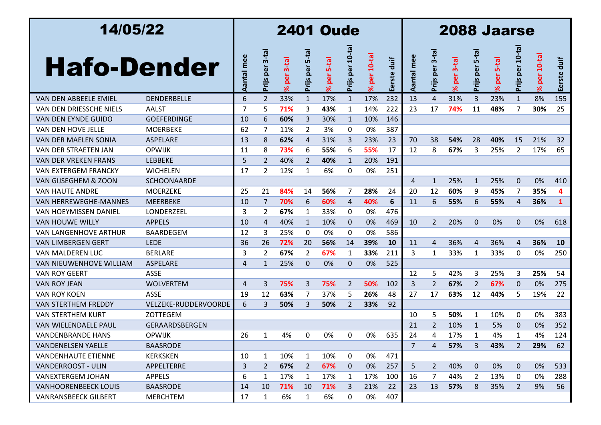| 14/05/22                       |                      | <b>2401 Oude</b> |                        |                     |                   |                                       |                    |                            |                |                | 2088 Jaarse         |                        |                        |                          |                 |                            |                |  |  |  |
|--------------------------------|----------------------|------------------|------------------------|---------------------|-------------------|---------------------------------------|--------------------|----------------------------|----------------|----------------|---------------------|------------------------|------------------------|--------------------------|-----------------|----------------------------|----------------|--|--|--|
| <b>Hafo-Dender</b>             |                      | Aantal mee       | $3-ta$<br>per<br>Prijs | $3-tal$<br>per<br>× | 5-ta<br>Prijs per | <b>S-tal</b><br><b>Be</b><br>$\aleph$ | per 10-ta<br>Prijs | $10-ta$<br>per<br>$\aleph$ | duif<br>Eerste | mee<br>Aantal  | $3-ta$<br>Prijs per | per 3-tal<br>$\approx$ | $5-ta$<br>per<br>Prijs | 5-tal<br>per<br>$\aleph$ | Prijs per 10-ta | $10-ta$<br>per<br>$\aleph$ | duif<br>Eerste |  |  |  |
| VAN DEN ABBEELE EMIEL          | <b>DENDERBELLE</b>   | 6                | $\overline{2}$         | 33%                 | $\mathbf{1}$      | 17%                                   | $\mathbf{1}$       | 17%                        | 232            | 13             | $\overline{4}$      | 31%                    | 3                      | 23%                      | $\mathbf{1}$    | 8%                         | 155            |  |  |  |
| VAN DEN DRIESSCHE NIELS        | AALST                | 7                | 5                      | 71%                 | 3                 | 43%                                   | 1                  | 14%                        | 222            | 23             | 17                  | 74%                    | 11                     | 48%                      | 7               | 30%                        | 25             |  |  |  |
| VAN DEN EYNDE GUIDO            | <b>GOEFERDINGE</b>   | 10               | 6                      | 60%                 | 3                 | 30%                                   | $\mathbf{1}$       | 10%                        | 146            |                |                     |                        |                        |                          |                 |                            |                |  |  |  |
| <b>VAN DEN HOVE JELLE</b>      | <b>MOERBEKE</b>      | 62               | 7                      | 11%                 | $\overline{2}$    | 3%                                    | 0                  | 0%                         | 387            |                |                     |                        |                        |                          |                 |                            |                |  |  |  |
| VAN DER MAELEN SONIA           | ASPELARE             | 13               | 8                      | 62%                 | 4                 | 31%                                   | 3                  | 23%                        | 23             | 70             | 38                  | 54%                    | 28                     | 40%                      | 15              | 21%                        | 32             |  |  |  |
| VAN DER STRAETEN JAN           | <b>OPWIJK</b>        | 11               | 8                      | 73%                 | 6                 | 55%                                   | 6                  | 55%                        | 17             | 12             | 8                   | 67%                    | 3                      | 25%                      | 2               | 17%                        | 65             |  |  |  |
| <b>VAN DER VREKEN FRANS</b>    | <b>LEBBEKE</b>       | 5                | 2                      | 40%                 | $\overline{2}$    | 40%                                   | $\mathbf{1}$       | 20%                        | 191            |                |                     |                        |                        |                          |                 |                            |                |  |  |  |
| <b>VAN EXTERGEM FRANCKY</b>    | <b>WICHELEN</b>      | 17               | $\overline{2}$         | 12%                 | 1                 | 6%                                    | 0                  | 0%                         | 251            |                |                     |                        |                        |                          |                 |                            |                |  |  |  |
| VAN GIJSEGHEM & ZOON           | <b>SCHOONAARDE</b>   |                  |                        |                     |                   |                                       |                    |                            |                | 4              | $\mathbf{1}$        | 25%                    | $\mathbf{1}$           | 25%                      | $\mathbf 0$     | 0%                         | 410            |  |  |  |
| <b>VAN HAUTE ANDRE</b>         | <b>MOERZEKE</b>      | 25               | 21                     | 84%                 | 14                | 56%                                   | 7                  | 28%                        | 24             | 20             | 12                  | 60%                    | 9                      | 45%                      | 7               | 35%                        | 4              |  |  |  |
| <b>VAN HERREWEGHE-MANNES</b>   | <b>MEERBEKE</b>      | 10               | 7                      | 70%                 | 6                 | 60%                                   | 4                  | 40%                        | 6              | 11             | 6                   | 55%                    | 6                      | 55%                      | 4               | 36%                        | $\mathbf{1}$   |  |  |  |
| <b>VAN HOEYMISSEN DANIEL</b>   | LONDERZEEL           | 3                | 2                      | 67%                 | 1                 | 33%                                   | 0                  | 0%                         | 476            |                |                     |                        |                        |                          |                 |                            |                |  |  |  |
| <b>VAN HOUWE WILLY</b>         | <b>APPELS</b>        | 10               | $\overline{4}$         | 40%                 | $\mathbf{1}$      | 10%                                   | $\mathbf{0}$       | 0%                         | 469            | 10             | $\overline{2}$      | 20%                    | $\mathbf{0}$           | 0%                       | $\Omega$        | 0%                         | 618            |  |  |  |
| <b>VAN LANGENHOVE ARTHUR</b>   | <b>BAARDEGEM</b>     | 12               | 3                      | 25%                 | 0                 | 0%                                    | 0                  | 0%                         | 586            |                |                     |                        |                        |                          |                 |                            |                |  |  |  |
| <b>VAN LIMBERGEN GERT</b>      | <b>LEDE</b>          | 36               | 26                     | 72%                 | 20                | 56%                                   | 14                 | 39%                        | <b>10</b>      | 11             | 4                   | 36%                    | $\overline{4}$         | 36%                      | $\overline{4}$  | 36%                        | <b>10</b>      |  |  |  |
| VAN MALDEREN LUC               | <b>BERLARE</b>       | 3                | $\overline{2}$         | 67%                 | 2                 | 67%                                   | 1                  | 33%                        | 211            | 3              | 1                   | 33%                    | 1                      | 33%                      | 0               | 0%                         | 250            |  |  |  |
| <b>VAN NIEUWENHOVE WILLIAM</b> | ASPELARE             | 4                | 1                      | 25%                 | $\Omega$          | 0%                                    | $\mathbf{0}$       | 0%                         | 525            |                |                     |                        |                        |                          |                 |                            |                |  |  |  |
| <b>VAN ROY GEERT</b>           | <b>ASSE</b>          |                  |                        |                     |                   |                                       |                    |                            |                | 12             | 5                   | 42%                    | 3                      | 25%                      | 3               | 25%                        | 54             |  |  |  |
| <b>VAN ROY JEAN</b>            | <b>WOLVERTEM</b>     | 4                | 3                      | 75%                 | 3                 | 75%                                   | $\overline{2}$     | 50%                        | 102            | 3              | $\overline{2}$      | 67%                    | $\overline{2}$         | 67%                      | 0               | 0%                         | 275            |  |  |  |
| <b>VAN ROY KOEN</b>            | <b>ASSE</b>          | 19               | 12                     | 63%                 | 7                 | 37%                                   | 5                  | 26%                        | 48             | 27             | 17                  | 63%                    | 12                     | 44%                      | 5               | 19%                        | 22             |  |  |  |
| <b>VAN STERTHEM FREDDY</b>     | VELZEKE-RUDDERVOORDE | 6                | 3                      | 50%                 | 3                 | 50%                                   | $\overline{2}$     | 33%                        | 92             |                |                     |                        |                        |                          |                 |                            |                |  |  |  |
| <b>VAN STERTHEM KURT</b>       | ZOTTEGEM             |                  |                        |                     |                   |                                       |                    |                            |                | 10             | 5                   | 50%                    | 1                      | 10%                      | 0               | 0%                         | 383            |  |  |  |
| VAN WIELENDAELE PAUL           | GERAARDSBERGEN       |                  |                        |                     |                   |                                       |                    |                            |                | 21             | 2                   | 10%                    | $\mathbf{1}$           | 5%                       | $\Omega$        | 0%                         | 352            |  |  |  |
| <b>VANDENBRANDE HANS</b>       | <b>OPWIJK</b>        | 26               | -1                     | 4%                  | 0                 | 0%                                    | 0                  | 0%                         | 635            | 24             | 4                   | 17%                    |                        | 4%                       |                 | 4%                         | 124            |  |  |  |
| <b>VANDENELSEN YAELLE</b>      | <b>BAASRODE</b>      |                  |                        |                     |                   |                                       |                    |                            |                | $\overline{7}$ | 4                   | 57%                    | 3                      | 43%                      | 2               | 29%                        | 62             |  |  |  |
| <b>VANDENHAUTE ETIENNE</b>     | <b>KERKSKEN</b>      | 10               | 1                      | 10%                 | $\mathbf{1}$      | 10%                                   | 0                  | 0%                         | 471            |                |                     |                        |                        |                          |                 |                            |                |  |  |  |
| <b>VANDERROOST - ULIN</b>      | APPELTERRE           | 3                | 2                      | 67%                 | $\overline{2}$    | 67%                                   | 0                  | 0%                         | 257            | 5              | $\overline{2}$      | 40%                    | $\mathbf{0}$           | 0%                       | $\mathbf 0$     | 0%                         | 533            |  |  |  |
| <b>VANEXTERGEM JOHAN</b>       | <b>APPELS</b>        | 6                | 1                      | 17%                 | $\mathbf{1}$      | 17%                                   | $\mathbf{1}$       | 17%                        | 100            | 16             | 7                   | 44%                    | 2                      | 13%                      | 0               | 0%                         | 288            |  |  |  |
| <b>VANHOORENBEECK LOUIS</b>    | <b>BAASRODE</b>      | 14               | 10                     | 71%                 | 10                | 71%                                   | 3                  | 21%                        | 22             | 23             | 13                  | 57%                    | 8                      | 35%                      | $\overline{2}$  | 9%                         | 56             |  |  |  |
| <b>VANRANSBEECK GILBERT</b>    | <b>MERCHTEM</b>      | 17               | $\mathbf{1}$           | 6%                  | $\mathbf{1}$      | 6%                                    | 0                  | 0%                         | 407            |                |                     |                        |                        |                          |                 |                            |                |  |  |  |